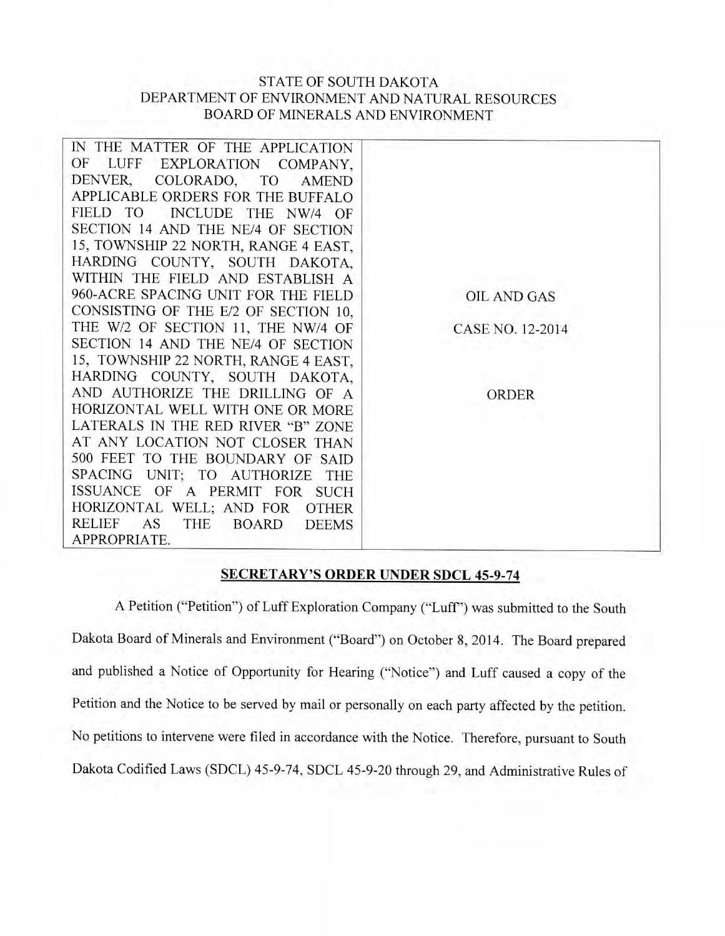## STATE OF SOUTH DAKOTA DEPARTMENT OF ENVIRONMENT AND NATURAL RESOURCES BOARD OF MINERALS AND ENVIRONMENT

| IN THE MATTER OF THE APPLICATION                 |                    |
|--------------------------------------------------|--------------------|
| OF LUFF EXPLORATION COMPANY,                     |                    |
| DENVER,<br>COLORADO,<br><b>AMEND</b><br>TO       |                    |
| APPLICABLE ORDERS FOR THE BUFFALO                |                    |
| FIELD TO<br>INCLUDE THE NW/4 OF                  |                    |
| SECTION 14 AND THE NE/4 OF SECTION               |                    |
| 15, TOWNSHIP 22 NORTH, RANGE 4 EAST,             |                    |
| HARDING COUNTY, SOUTH DAKOTA,                    |                    |
| WITHIN THE FIELD AND ESTABLISH A                 |                    |
| 960-ACRE SPACING UNIT FOR THE FIELD              | <b>OIL AND GAS</b> |
| CONSISTING OF THE E/2 OF SECTION 10.             |                    |
| THE W/2 OF SECTION 11, THE NW/4 OF               | CASE NO. 12-2014   |
| SECTION 14 AND THE NE/4 OF SECTION               |                    |
| 15, TOWNSHIP 22 NORTH, RANGE 4 EAST,             |                    |
| HARDING COUNTY, SOUTH DAKOTA,                    |                    |
| AND AUTHORIZE THE DRILLING OF A                  | <b>ORDER</b>       |
| HORIZONTAL WELL WITH ONE OR MORE                 |                    |
| LATERALS IN THE RED RIVER "B" ZONE               |                    |
| AT ANY LOCATION NOT CLOSER THAN                  |                    |
| 500 FEET TO THE BOUNDARY OF SAID                 |                    |
| SPACING UNIT; TO AUTHORIZE<br>THE                |                    |
| ISSUANCE OF A PERMIT FOR SUCH                    |                    |
| HORIZONTAL WELL; AND FOR<br><b>OTHER</b>         |                    |
| RELIEF AS<br>THE<br><b>BOARD</b><br><b>DEEMS</b> |                    |
| APPROPRIATE.                                     |                    |

## **SECRETARY'S ORDER UNDER SDCL 45-9-74**

A Petition ("Petition") of Luff Exploration Company ("Luff') was submitted to the South Dakota Board of Minerals and Environment ("Board") on October 8, 2014. The Board prepared and published a Notice of Opportunity for Hearing ("Notice") and Luff caused a copy of the Petition and the Notice to be served by mail or personally on each party affected by the petition. No petitions to intervene were filed in accordance with the Notice. Therefore, pursuant to South Dakota Codified Laws (SDCL) 45-9-74, SDCL 45-9-20 through 29, and Administrative Rules of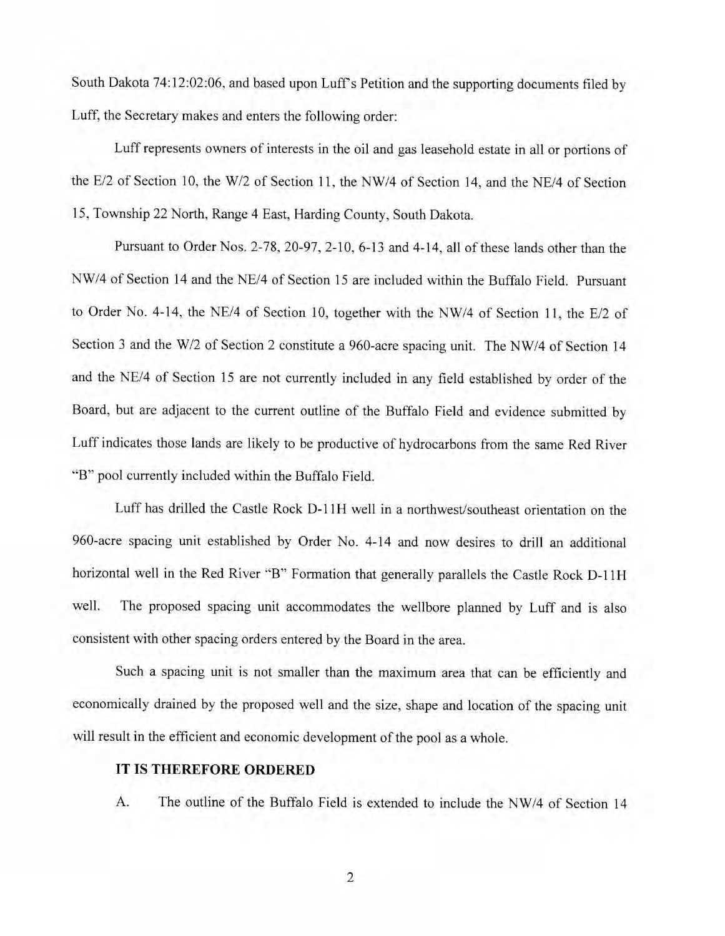South Dakota 74:12:02:06, and based upon Luff's Petition and the supporting documents filed by Luff, the Secretary makes and enters the following order:

Luff represents owners of interests in the oil and gas leasehold estate in all or portions of the E/2 of Section 10, the W/2 of Section 11, the NW/4 of Section 14, and the NE/4 of Section 15, Township 22 North, Range 4 East, Harding County, South Dakota.

Pursuant to Order Nos. 2-78, 20-97, 2-10, 6-13 and 4-14, all of these lands other than the NW/4 of Section 14 and the NE/4 of Section 15 are included within the Buffalo Field. Pursuant to Order No. 4-14, the NE/4 of Section 10, together with the NW/4 of Section 11, the E/2 of Section 3 and the W/2 of Section 2 constitute a 960-acre spacing unit. The NW/4 of Section 14 and the NE/4 of Section 15 are not currently included in any field established by order of the Board, but are adjacent to the current outline of the Buffalo Field and evidence submitted by Luff indicates those lands are likely to be productive of hydrocarbons from the same Red River "B" pool currently included within the Buffalo Field.

Luff has drilled the Castle Rock D-11H well in a northwest/southeast orientation on the 960-acre spacing unit established by Order No. 4-14 and now desires to drill an additional horizontal well in the Red River "B" Formation that generally parallels the Castle Rock D-11H well. The proposed spacing unit accommodates the wellbore planned by Luff and is also consistent with other spacing orders entered by the Board in the area.

Such a spacing unit is not smaller than the maximum area that can be efficiently and economically drained by the proposed well and the size, shape and location of the spacing unit will result in the efficient and economic development of the pool as a whole.

## **IT IS THEREFORE ORDERED**

A. The outline of the Buffalo Field is extended to include the NW/4 of Section 14